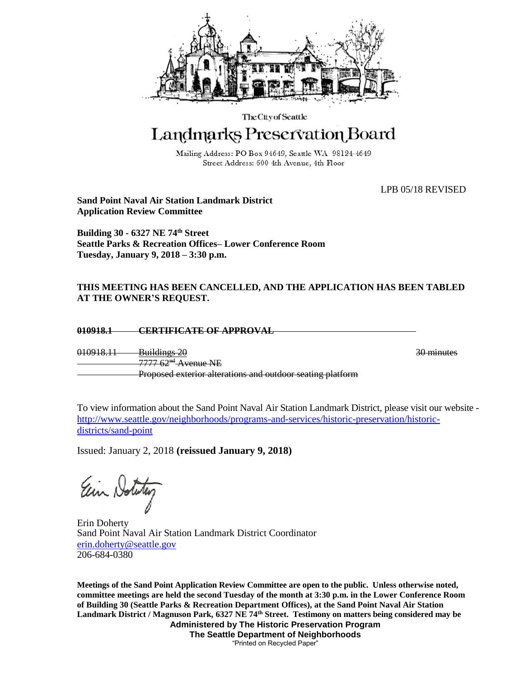

The City of Seattle

## Landmarks Preservation Board

Mailing Address: PO Box 94649, Seattle WA 98124-4649 Street Address: 600 4th Avenue, 4th Floor

LPB 05/18 REVISED

**Sand Point Naval Air Station Landmark District Application Review Committee**

**Building 30 - 6327 NE 74th Street Seattle Parks & Recreation Offices– Lower Conference Room Tuesday, January 9, 2018 – 3:30 p.m.**

## **THIS MEETING HAS BEEN CANCELLED, AND THE APPLICATION HAS BEEN TABLED AT THE OWNER'S REQUEST.**

**010918.1 CERTIFICATE OF APPROVAL** 

010918.11 Buildings 20 30 minutes 7777 62<sup>nd</sup> Avenue NE Proposed exterior alterations and outdoor seating platform

To view information about the Sand Point Naval Air Station Landmark District, please visit our website [http://www.seattle.gov/neighborhoods/programs-and-services/historic-preservation/historic](http://www.seattle.gov/neighborhoods/programs-and-services/historic-preservation/historic-districts/sand-point)[districts/sand-point](http://www.seattle.gov/neighborhoods/programs-and-services/historic-preservation/historic-districts/sand-point)

Issued: January 2, 2018 **(reissued January 9, 2018)**

Ein Notitu

Erin Doherty Sand Point Naval Air Station Landmark District Coordinator [erin.doherty@seattle.gov](mailto:erin.doherty@seattle.gov) 206-684-0380

**Administered by The Historic Preservation Program The Seattle Department of Neighborhoods Meetings of the Sand Point Application Review Committee are open to the public. Unless otherwise noted, committee meetings are held the second Tuesday of the month at 3:30 p.m. in the Lower Conference Room of Building 30 (Seattle Parks & Recreation Department Offices), at the Sand Point Naval Air Station Landmark District / Magnuson Park, 6327 NE 74th Street. Testimony on matters being considered may be** 

"Printed on Recycled Paper"